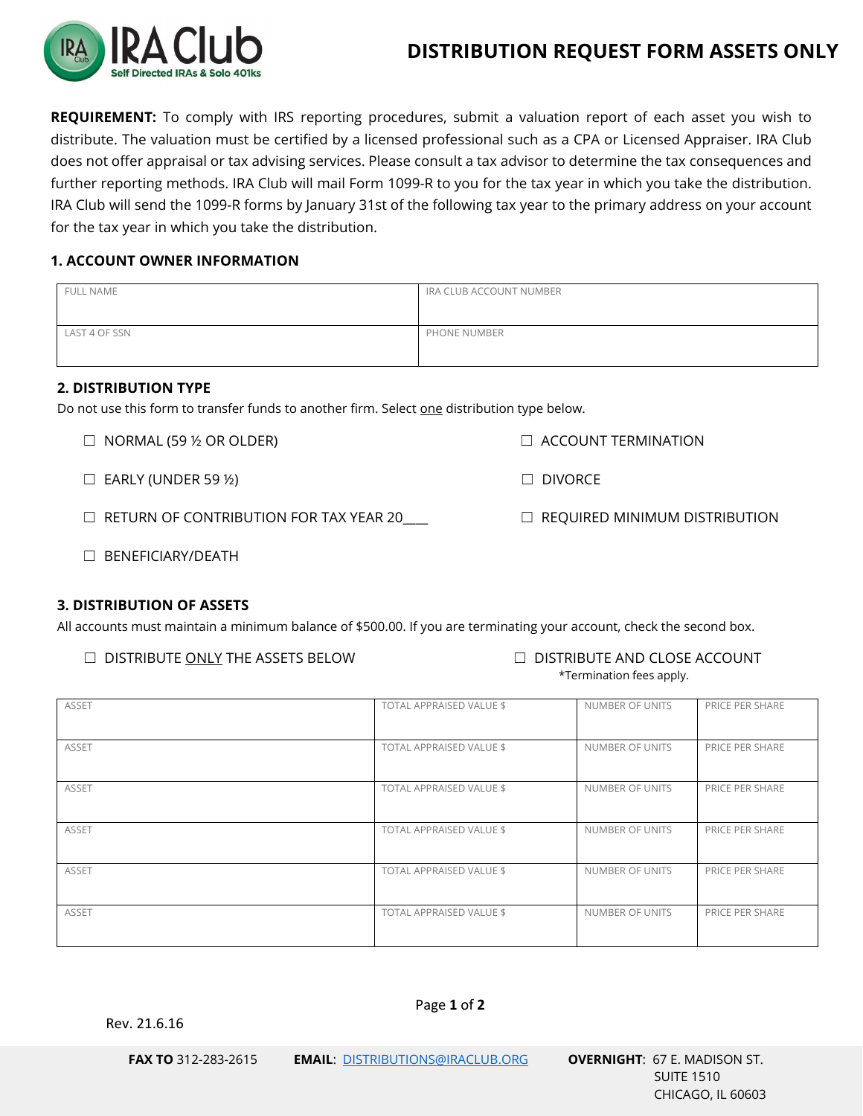

# **DISTRIBUTION REQUEST FORM ASSETS ONLY**

**REQUIREMENT:** To comply with IRS reporting procedures, submit a valuation report of each asset you wish to distribute. The valuation must be certified by a licensed professional such as a CPA or Licensed Appraiser. IRA Club does not offer appraisal or tax advising services. Please consult a tax advisor to determine the tax consequences and further reporting methods. IRA Club will mail Form 1099-R to you for the tax year in which you take the distribution. IRA Club will send the 1099-R forms by January 31st of the following tax year to the primary address on your account for the tax year in which you take the distribution.

### **1. ACCOUNT OWNER INFORMATION**

| <b>FULL NAME</b> | IRA CLUB ACCOUNT NUMBER |
|------------------|-------------------------|
| LAST 4 OF SSN    | PHONE NUMBER            |

# **2. DISTRIBUTION TYPE**

Do not use this form to transfer funds to another firm. Select one distribution type below.

☐ NORMAL (59 ½ OR OLDER) ☐ ACCOUNT TERMINATION

 $\Box$  EARLY (UNDER 59 ½)  $\Box$  DIVORCE

☐ RETURN OF CONTRIBUTION FOR TAX YEAR 20\_\_\_\_ ☐ REQUIRED MINIMUM DISTRIBUTION

☐ BENEFICIARY/DEATH

#### **3. DISTRIBUTION OF ASSETS**

All accounts must maintain a minimum balance of \$500.00. If you are terminating your account, check the second box.

- ☐ DISTRIBUTE ONLY THE ASSETS BELOW ☐ DISTRIBUTE AND CLOSE ACCOUNT
- \*Termination fees apply.

| <b>ASSET</b> | <b>TOTAL APPRAISED VALUE \$</b> | NUMBER OF UNITS | PRICE PER SHARE |
|--------------|---------------------------------|-----------------|-----------------|
| <b>ASSET</b> | TOTAL APPRAISED VALUE \$        | NUMBER OF UNITS | PRICE PER SHARE |
| <b>ASSET</b> | TOTAL APPRAISED VALUE \$        | NUMBER OF UNITS | PRICE PER SHARE |
| <b>ASSET</b> | TOTAL APPRAISED VALUE \$        | NUMBER OF UNITS | PRICE PER SHARE |
| <b>ASSET</b> | TOTAL APPRAISED VALUE \$        | NUMBER OF UNITS | PRICE PER SHARE |
| <b>ASSET</b> | TOTAL APPRAISED VALUE \$        | NUMBER OF UNITS | PRICE PER SHARE |